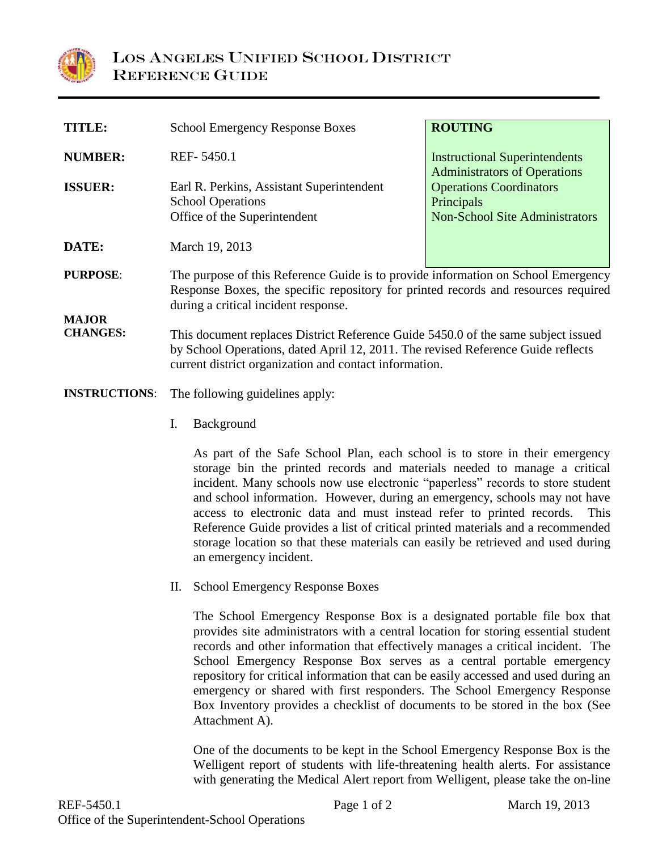

| <b>TITLE:</b>                   | <b>School Emergency Response Boxes</b>                                                                                                                                                                                          | <b>ROUTING</b>                                                                        |
|---------------------------------|---------------------------------------------------------------------------------------------------------------------------------------------------------------------------------------------------------------------------------|---------------------------------------------------------------------------------------|
| <b>NUMBER:</b>                  | REF-5450.1                                                                                                                                                                                                                      | <b>Instructional Superintendents</b><br><b>Administrators of Operations</b>           |
| <b>ISSUER:</b>                  | Earl R. Perkins, Assistant Superintendent<br><b>School Operations</b><br>Office of the Superintendent                                                                                                                           | <b>Operations Coordinators</b><br>Principals<br><b>Non-School Site Administrators</b> |
| DATE:                           | March 19, 2013                                                                                                                                                                                                                  |                                                                                       |
| <b>PURPOSE:</b>                 | The purpose of this Reference Guide is to provide information on School Emergency<br>Response Boxes, the specific repository for printed records and resources required<br>during a critical incident response.                 |                                                                                       |
| <b>MAJOR</b><br><b>CHANGES:</b> | This document replaces District Reference Guide 5450.0 of the same subject issued<br>by School Operations, dated April 12, 2011. The revised Reference Guide reflects<br>current district organization and contact information. |                                                                                       |

**INSTRUCTIONS**: The following guidelines apply:

I. Background

As part of the Safe School Plan, each school is to store in their emergency storage bin the printed records and materials needed to manage a critical incident. Many schools now use electronic "paperless" records to store student and school information. However, during an emergency, schools may not have access to electronic data and must instead refer to printed records. This Reference Guide provides a list of critical printed materials and a recommended storage location so that these materials can easily be retrieved and used during an emergency incident.

II. School Emergency Response Boxes

The School Emergency Response Box is a designated portable file box that provides site administrators with a central location for storing essential student records and other information that effectively manages a critical incident. The School Emergency Response Box serves as a central portable emergency repository for critical information that can be easily accessed and used during an emergency or shared with first responders. The School Emergency Response Box Inventory provides a checklist of documents to be stored in the box (See Attachment A).

One of the documents to be kept in the School Emergency Response Box is the Welligent report of students with life-threatening health alerts. For assistance with generating the Medical Alert report from Welligent, please take the on-line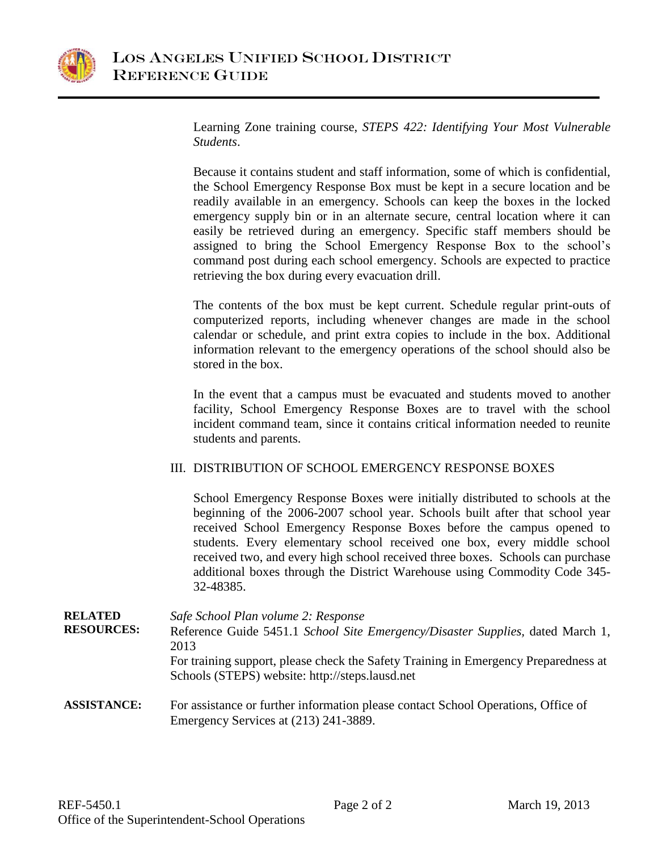

Learning Zone training course, *STEPS 422: Identifying Your Most Vulnerable Students*.

Because it contains student and staff information, some of which is confidential, the School Emergency Response Box must be kept in a secure location and be readily available in an emergency. Schools can keep the boxes in the locked emergency supply bin or in an alternate secure, central location where it can easily be retrieved during an emergency. Specific staff members should be assigned to bring the School Emergency Response Box to the school's command post during each school emergency. Schools are expected to practice retrieving the box during every evacuation drill.

The contents of the box must be kept current. Schedule regular print-outs of computerized reports, including whenever changes are made in the school calendar or schedule, and print extra copies to include in the box. Additional information relevant to the emergency operations of the school should also be stored in the box.

In the event that a campus must be evacuated and students moved to another facility, School Emergency Response Boxes are to travel with the school incident command team, since it contains critical information needed to reunite students and parents.

# III. DISTRIBUTION OF SCHOOL EMERGENCY RESPONSE BOXES

School Emergency Response Boxes were initially distributed to schools at the beginning of the 2006-2007 school year. Schools built after that school year received School Emergency Response Boxes before the campus opened to students. Every elementary school received one box, every middle school received two, and every high school received three boxes. Schools can purchase additional boxes through the District Warehouse using Commodity Code 345- 32-48385.

**RELATED RESOURCES:** *Safe School Plan volume 2: Response* Reference Guide 5451.1 *School Site Emergency/Disaster Supplies,* dated March 1, 2013 For training support, please check the Safety Training in Emergency Preparedness at Schools (STEPS) website: http://steps.lausd.net

# ASSISTANCE: For assistance or further information please contact School Operations, Office of Emergency Services at (213) 241-3889.